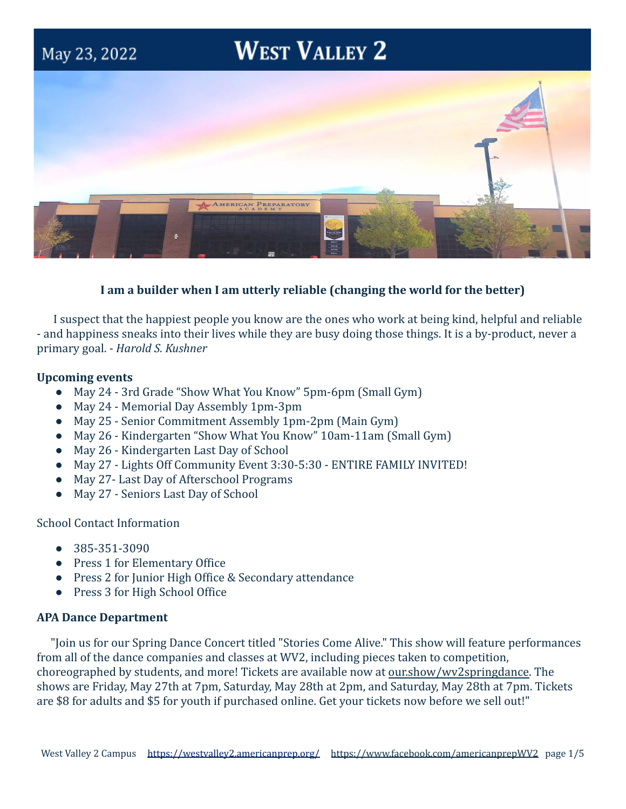# **WEST VALLEY 2**



# **I am a builder when I am utterly reliable (changing the world for the better)**

I suspect that the happiest people you know are the ones who work at being kind, helpful and reliable - and happiness sneaks into their lives while they are busy doing those things. It is a by-product, never a primary goal. - *Harold S. Kushner*

## **Upcoming events**

May 23, 2022

- May 24 3rd Grade "Show What You Know" 5pm-6pm (Small Gym)
- May 24 Memorial Day Assembly 1pm-3pm
- May 25 Senior Commitment Assembly 1pm-2pm (Main Gym)
- May 26 Kindergarten "Show What You Know" 10am-11am (Small Gym)
- May 26 Kindergarten Last Day of School
- May 27 Lights Off Community Event 3:30-5:30 ENTIRE FAMILY INVITED!
- May 27- Last Day of Afterschool Programs
- May 27 Seniors Last Day of School

School Contact Information

- 385-351-3090
- Press 1 for Elementary Office
- Press 2 for Junior High Office & Secondary attendance
- Press 3 for High School Office

# **APA Dance Department**

"Join us for our Spring Dance Concert titled "Stories Come Alive." This show will feature performances from all of the dance companies and classes at WV2, including pieces taken to competition, choreographed by students, and more! Tickets are available now at [our.show/wv2springdance.](http://our.show/wv2springdance) The shows are Friday, May 27th at 7pm, Saturday, May 28th at 2pm, and Saturday, May 28th at 7pm. Tickets are \$8 for adults and \$5 for youth if purchased online. Get your tickets now before we sell out!"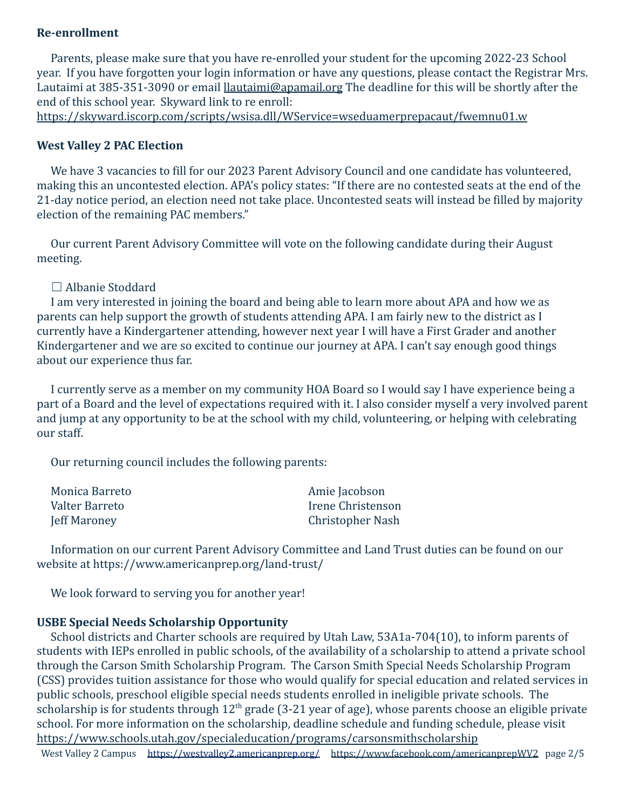# **Re-enrollment**

Parents, please make sure that you have re-enrolled your student for the upcoming 2022-23 School year. If you have forgotten your login information or have any questions, please contact the Registrar Mrs. Lautaimi at 385-351-3090 or email [llautaimi@apamail.org](mailto:llautaimi@apamail.org) The deadline for this will be shortly after the end of this school year. Skyward link to re enroll:

<https://skyward.iscorp.com/scripts/wsisa.dll/WService=wseduamerprepacaut/fwemnu01.w>

## **West Valley 2 PAC Election**

We have 3 vacancies to fill for our 2023 Parent Advisory Council and one candidate has volunteered, making this an uncontested election. APA's policy states: "If there are no contested seats at the end of the 21-day notice period, an election need not take place. Uncontested seats will instead be filled by majority election of the remaining PAC members."

Our current Parent Advisory Committee will vote on the following candidate during their August meeting.

## ☐ Albanie Stoddard

I am very interested in joining the board and being able to learn more about APA and how we as parents can help support the growth of students attending APA. I am fairly new to the district as I currently have a Kindergartener attending, however next year I will have a First Grader and another Kindergartener and we are so excited to continue our journey at APA. I can't say enough good things about our experience thus far.

I currently serve as a member on my community HOA Board so I would say I have experience being a part of a Board and the level of expectations required with it. I also consider myself a very involved parent and jump at any opportunity to be at the school with my child, volunteering, or helping with celebrating our staff.

Our returning council includes the following parents:

| Monica Barreto | Amie Jacobson     |
|----------------|-------------------|
| Valter Barreto | Irene Christenson |
| Jeff Maroney   | Christopher Nash  |

Information on our current Parent Advisory Committee and Land Trust duties can be found on our website at https://www.americanprep.org/land-trust/

We look forward to serving you for another year!

## **USBE Special Needs Scholarship Opportunity**

School districts and Charter schools are required by Utah Law, 53A1a-704(10), to inform parents of students with IEPs enrolled in public schools, of the availability of a scholarship to attend a private school through the Carson Smith Scholarship Program. The Carson Smith Special Needs Scholarship Program (CSS) provides tuition assistance for those who would qualify for special education and related services in public schools, preschool eligible special needs students enrolled in ineligible private schools. The scholarship is for students through  $12<sup>th</sup>$  grade (3-21 year of age), whose parents choose an eligible private school. For more information on the scholarship, deadline schedule and funding schedule, please visit <https://www.schools.utah.gov/specialeducation/programs/carsonsmithscholarship>

West Valley 2 Campus <https://westvalley2.americanprep.org/> <https://www.facebook.com/americanprepWV2> page 2/5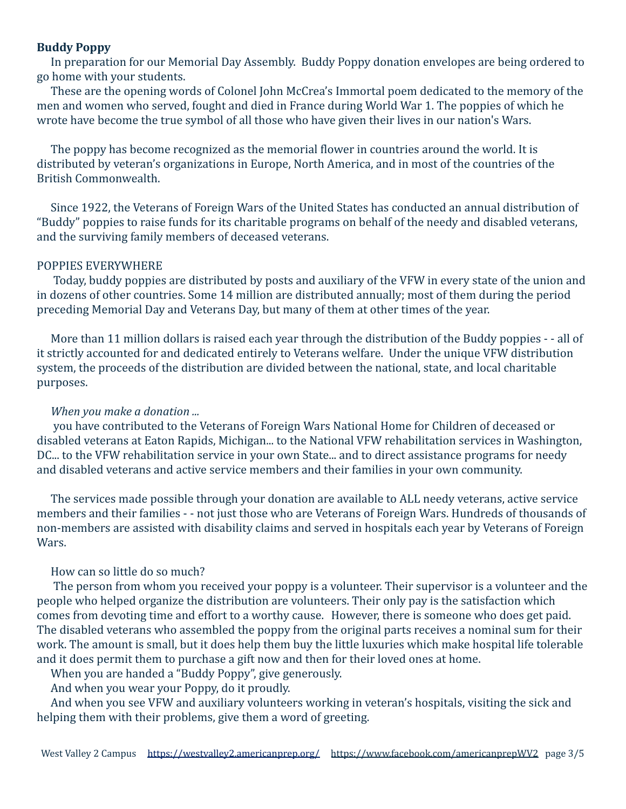### **Buddy Poppy**

In preparation for our Memorial Day Assembly. Buddy Poppy donation envelopes are being ordered to go home with your students.

These are the opening words of Colonel John McCrea's Immortal poem dedicated to the memory of the men and women who served, fought and died in France during World War 1. The poppies of which he wrote have become the true symbol of all those who have given their lives in our nation's Wars.

The poppy has become recognized as the memorial flower in countries around the world. It is distributed by veteran's organizations in Europe, North America, and in most of the countries of the British Commonwealth.

Since 1922, the Veterans of Foreign Wars of the United States has conducted an annual distribution of "Buddy" poppies to raise funds for its charitable programs on behalf of the needy and disabled veterans, and the surviving family members of deceased veterans.

## POPPIES EVERYWHERE

Today, buddy poppies are distributed by posts and auxiliary of the VFW in every state of the union and in dozens of other countries. Some 14 million are distributed annually; most of them during the period preceding Memorial Day and Veterans Day, but many of them at other times of the year.

More than 11 million dollars is raised each year through the distribution of the Buddy poppies - - all of it strictly accounted for and dedicated entirely to Veterans welfare. Under the unique VFW distribution system, the proceeds of the distribution are divided between the national, state, and local charitable purposes.

#### *When you make a donation ...*

you have contributed to the Veterans of Foreign Wars National Home for Children of deceased or disabled veterans at Eaton Rapids, Michigan... to the National VFW rehabilitation services in Washington, DC... to the VFW rehabilitation service in your own State... and to direct assistance programs for needy and disabled veterans and active service members and their families in your own community.

The services made possible through your donation are available to ALL needy veterans, active service members and their families - - not just those who are Veterans of Foreign Wars. Hundreds of thousands of non-members are assisted with disability claims and served in hospitals each year by Veterans of Foreign Wars.

## How can so little do so much?

The person from whom you received your poppy is a volunteer. Their supervisor is a volunteer and the people who helped organize the distribution are volunteers. Their only pay is the satisfaction which comes from devoting time and effort to a worthy cause. However, there is someone who does get paid. The disabled veterans who assembled the poppy from the original parts receives a nominal sum for their work. The amount is small, but it does help them buy the little luxuries which make hospital life tolerable and it does permit them to purchase a gift now and then for their loved ones at home.

When you are handed a "Buddy Poppy", give generously.

And when you wear your Poppy, do it proudly.

And when you see VFW and auxiliary volunteers working in veteran's hospitals, visiting the sick and helping them with their problems, give them a word of greeting.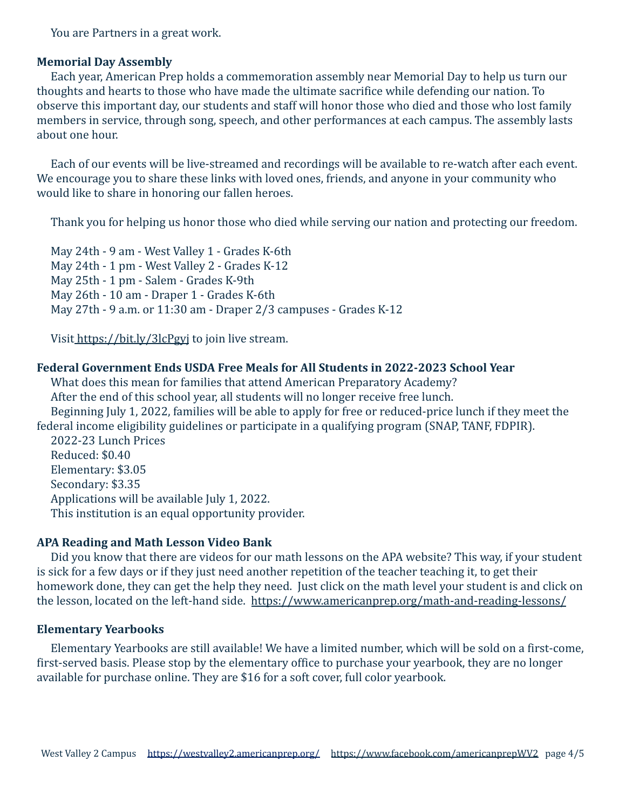You are Partners in a great work.

### **Memorial Day Assembly**

Each year, American Prep holds a commemoration assembly near Memorial Day to help us turn our thoughts and hearts to those who have made the ultimate sacrifice while defending our nation. To observe this important day, our students and staff will honor those who died and those who lost family members in service, through song, speech, and other performances at each campus. The assembly lasts about one hour.

Each of our events will be live-streamed and recordings will be available to re-watch after each event. We encourage you to share these links with loved ones, friends, and anyone in your community who would like to share in honoring our fallen heroes.

Thank you for helping us honor those who died while serving our nation and protecting our freedom.

May 24th - 9 am - West Valley 1 - Grades K-6th May 24th - 1 pm - West Valley 2 - Grades K-12 May 25th - 1 pm - Salem - Grades K-9th May 26th - 10 am - Draper 1 - Grades K-6th May 27th - 9 a.m. or 11:30 am - Draper 2/3 campuses - Grades K-12

Visit <https://bit.ly/3lcPgyj> to join live stream.

#### **Federal Government Ends USDA Free Meals for All Students in 2022-2023 School Year**

What does this mean for families that attend American Preparatory Academy? After the end of this school year, all students will no longer receive free lunch. Beginning July 1, 2022, families will be able to apply for free or reduced-price lunch if they meet the federal income eligibility guidelines or participate in a qualifying program (SNAP, TANF, FDPIR). 2022-23 Lunch Prices Reduced: \$0.40 Elementary: \$3.05 Secondary: \$3.35 Applications will be available July 1, 2022. This institution is an equal opportunity provider.

#### **APA Reading and Math Lesson Video Bank**

Did you know that there are videos for our math lessons on the APA website? This way, if your student is sick for a few days or if they just need another repetition of the teacher teaching it, to get their homework done, they can get the help they need. Just click on the math level your student is and click on the lesson, located on the left-hand side. <https://www.americanprep.org/math-and-reading-lessons/>

#### **Elementary Yearbooks**

Elementary Yearbooks are still available! We have a limited number, which will be sold on a first-come, first-served basis. Please stop by the elementary office to purchase your yearbook, they are no longer available for purchase online. They are \$16 for a soft cover, full color yearbook.